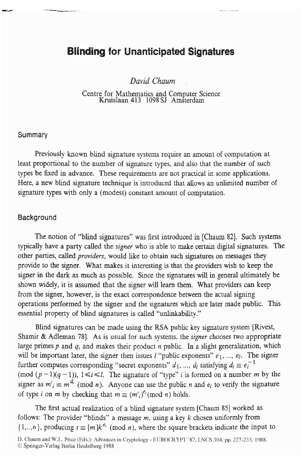# **Blinding for Unanticipated Signatures**

*David Chaum* .

Centre for Mathematics and Computer Science Kruislaan 413 1098 SJ Amsterdam

## **Summary**

Previously known blind signature systems require an amount of computation at least proportional to the number of signature types, and also that the number of such types be fixed in advance. These requirements are not practical in some applications. Here, a new blind signature technique is introduced that allows an unlimited number of signature types with only a (modest) constant amount of computation.

#### **Background**

The notion of "blind signatures" was first introduced in [Chaum 821. Such systems typically have a party called the *siper* who is able to make certain digital signatures. The other parties, called *providers,* would like to obtain such signatures on messages they provide to the signer. What makes it interesting is that the providers wish to keep the signer in the **dark** as much as possible. Since the signatures will in general ultimately be shown widely, it is assumed that the signer will learn them. What providers can keep from the signer, however, is the exact correspondence between the actual signing operations performed by the signer and the signatures which are later made public. This essential property of blind signatures is called "unlinkability."

Shamir & Adleman 781. As is usual for such systems. the *signer* chooses two appropriate large primes  $p$  and  $q$ , and makes their product  $n$  public. In a slight generalization, which will be important later, the signer then issues  $l$  "public exponents"  $e_1$ , ...,  $e_l$ . The signer further computes corresponding "secret exponents"  $d_1$ , ...,  $d_l$  satisfying  $d_i \equiv e_i^{-1}$ (mod  $(p-1)(q-1)$ ),  $1 \le i \le l$ . The signature of "type" *i* is formed on a number *m* by the signer as  $m'_i \equiv m^{d_i} \pmod{n}$ . Anyone can use the public *n* and  $e_i$  to verify the signature of type *i* on *m* by checking that  $m \equiv (m'_i)^{e_i} \pmod{n}$  holds. Blind signatures can be made using the **RSA** public key signature system [Rivest,

The first actual realization of a blind signature system [Chaum 851 worked as follows: The provider "blinds" a message *m,* using **a** key *k* chosen uniformly from  $\{1, \ldots, n\}$ , producing  $t \equiv [m]k^{\ell_i} \pmod{n}$ , where the square brackets indicate the input to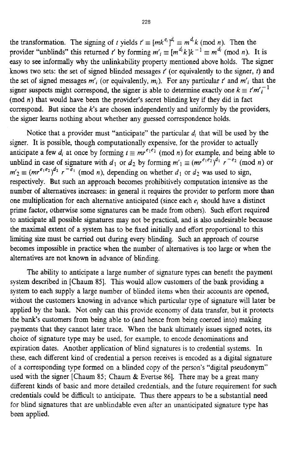the transformation. The signing of *t* yields  $t' \equiv [mk^{e_i}]^{d_i} \equiv m^{d_i} k \pmod{n}$ . Then the provider "unblinds" this returned *t'* by forming  $m'_i \equiv [m^{a_i}k]k^{-1} \equiv m^{a_i} \pmod{n}$ . It is easy to see informally why the unlinkability property mentioned above holds. The signer knows two sets: the set of signed blinded messages *f* (or equivalently to the signer, *t)* and the set of signed messages  $m'_i$  (or equivalently,  $m_i$ ). For any particular *t'* and  $m'_i$  that the signer suspects might correspond, the signer is able to determine exactly one  $k \equiv t'm'^{-1}$ (mod *n)* that would have been the provider's secret blinding key if they did in fact correspond. But since the *k's* are chosen independently and uniformly by the providers, the signer learns nothing about whether any guessed correspondence holds.

Notice that a provider must "anticipate" the particular  $d_i$  that will be used by the signer. It is possible, though computationally expensive, for the provider to actually anticipate a few  $d_i$  at once by forming  $t \equiv mr^{e_1e_2} \pmod{n}$  for example, and being able to unblind in case of signature with *d<sub>1</sub>* or *d<sub>2</sub>* by forming  $m'_{1} \equiv (mr^{e_1e_2})^{d_1} r^{-e_2} \pmod{n}$  or  $m'_2 \equiv (mr^{e_1e_2})^{d_2}$   $r^{-e_1} \pmod{n}$ , depending on whether *d*<sub>1</sub> or *d*<sub>2</sub> was used to sign, respectively. But such an approach becomes prohibitively computation intensive as the number **of** alternatives increases: in general it requires the provider to perform more than one multiplication for each alternative anticipated **(since** each e, should have a distinct prime factor, otherwise some signatures can be made from others). Such effort required to anticipate all possible signatures may not be practical, and is also undesirable because the maximal extent of a system has to be fixed initially and effort proportional to this **limiting** size must be *carried* out during every blinding. Such an approach of course becomes impossible in practice when the number of alternatives is too large or when the alternatives are not known in advance of blinding.

system described in [Chaum 851. This would allow customers of the bank providing a system to each supply a large number of blinded items when their accounts are opened, without the customers knowing in advance whch particular type of signature will later be applied by the bank. Not only can this provide economy of data transfer, but it protects the bank's customers from being able to (and hence from being coerced into) making payments that they cannot later trace. When the bank ultimately issues signed notes, its choice of signature type may be used, for example, to encode denominations and expiration dates. Another application of blind signatures is to credential systems. In these, each different kind of credential a person receives is encoded as a digital signature of a corresponding type formed on a blinded copy of the person's "digital pseudonym" used with the signer [Chaum 85; Chaum & Evertse 86]. There may be a great many different kinds of basic and more detailed credentials, and the future requirement for such credentials could be difficult to anticipate. Thus there appears to be a substantial need for blind signatures that are unblindable even after an unanticipated signature type **has**  been applied. The ability to anticipate a large number of signature types can benefit the payment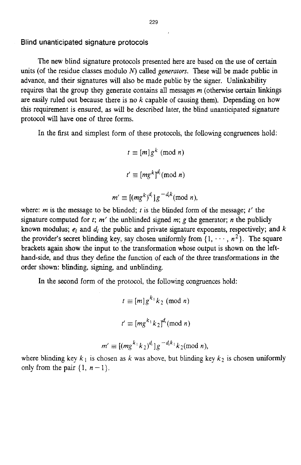## **Blind unanticipated signature protocols**

The new blind signature protocols presented here are based on the use of certain units (of the residue classes modulo  $N$ ) called *generators*. These will be made public in advance, and their signatures will also be made public by the signer. Unlinkability requires that the group they generate contains all messages  $m$  (otherwise certain linkings are easily ruled out because there is no  $k$  capable of causing them). Depending on how **this** requirement is ensured, as will be described later, the blind unanticipated signature protocol will have one of three forms.

In the first and simplest form of these protocols, the following congruences hold:

 $t \equiv [m]g^k \pmod{n}$  $t' \equiv [mg^k]^{\frac{d_i}{d}} \pmod{n}$ 

$$
m' \equiv [(mg^k)^{d_i}]g^{-d_i k} \pmod{n},
$$

where: *m* is the message to be blinded; *t* is the blinded form of the message;  $t'$  the signature computed for  $t$ ;  $m'$  the unblinded signed  $m$ ;  $g$  the generator;  $n$  the publicly known modulus;  $e_i$  and  $d_i$  the public and private signature exponents, respectively; and  $k$ the provider's secret blinding key, say chosen uniformly from  $\{1, \dots, n^2\}$ . The square brackets again show the input to the transformation whose output is shown on the lefthand-side, and thus they define the function of each of the three transformations in the order shown: blinding, **signing,** and unblinding.

In the second form of the protocol, the following congruences hold:

$$
t \equiv [m] g^{k_1} k_2 \pmod{n}
$$

$$
t' \equiv [mg^{k_1} k_2]^{d_i} \pmod{n}
$$

$$
m' \equiv [(mg^{k_1}k_2)^{d_i}]g^{-d_i k_1}k_2 \pmod{n},
$$

where blinding key  $k_1$  is chosen as k was above, but blinding key  $k_2$  is chosen uniformly only from the pair  $\{1, n-1\}$ .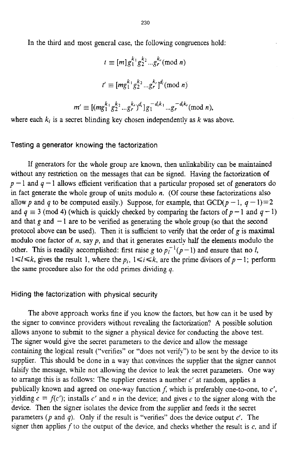In the third and most general case, the following congruences hold:

$$
t \equiv [m] g_1^{k_1} g_2^{k_2} \dots g_r^{k_r} \pmod{n}
$$

$$
t' \equiv [mg_1^{k_1} g_2^{k_2} \dots g_r^{k_r} ]^{d_i} \pmod{n}
$$

$$
m' \equiv [(mg_1^{k_1} g_2^{k_2} \dots g_r^{k_r})^{d_i}] g_1^{-d_i k_1} \dots g_r^{-d_i k_r} \pmod{n},
$$

where each  $k_i$  is a secret blinding key chosen independently as  $k$  was above.

Testing a generator knowing the factorization

If generators for the whole group are known, then unlinkabdity can be maintained without any restriction on the messages that can be signed. Having the factorization of  $p-1$  and  $q-1$  allows efficient verification that a particular proposed set of generators do in fact generate the whole group of units modulo *n.* (Of course these factorizations also allow p and q to be computed easily.) Suppose, for example, that  $GCD(p-1, q-1)=2$ and  $q \equiv 3 \pmod{4}$  (which is quickly checked by comparing the factors of  $p-1$  and  $q-1$ ) and that  $g$  and  $-1$  are to be verified as generating the whole group (so that the second protocol above can be used). Then it is sufficient to venfy that the order of *g* is maximal modulo one factor of *n*, say *p*, and that it generates exactly half the elements modulo the other. This is readily accomplished: first raise *g* to  $p_l^{-1}(p-1)$  and ensure that no *l*,  $1 \leq l \leq k$ , gives the result 1, where the  $p_i$ ,  $1 \leq i \leq k$ , are the prime divisors of  $p-1$ ; perform the same procedure also for the odd primes dividing *q.* 

#### Hiding the factorization with physical security

The above approach works fine if you know the factors, but how can it be used by the signer to convince providers without revealing the factorization? **A** possible solution allows anyone to submit to the signer a physical device for conducting the above test. The signer would give the secret parameters to the device and allow the message containing the logical result ("verifies" or "does not verify") to be sent by the device to its supplier. This should be done in a way that convinces the supplier that the signer cannot falsify the message, while not allowing the device to leak the secret parameters. One way to arrange this is as follows: The supplier creates a number  $c'$  at random, applies a publically known and agreed on one-way function *f,* which is preferably one-to-one, to *c',*  yielding  $c = f(c')$ ; installs c' and *n* in the device; and gives c to the signer along with the device. Then the signer isolates the device from the supplier and feeds it the secret parameters *(p* and *4).* Only if the result is "verifies" does the device output *c'.* The signer then applies f to the output of the device, and checks whether the result is **c,** and if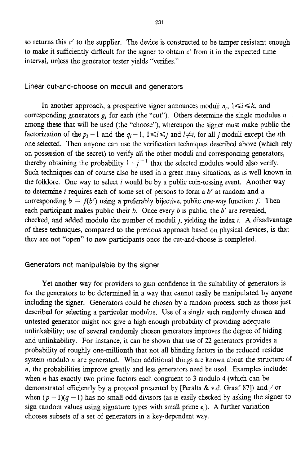so returns this  $c'$  to the supplier. The device is constructed to be tamper resistant enough to make it sufficiently difficult for the signer to obtain *c'* from it in the expected time interval, unless the generator tester yields "verifies."

## Linear cut-and-choose on moduli and generators

In another approach, a prospective signer announces moduli  $n_i$ ,  $1 \le i \le k$ , and corresponding generators  $g_i$  for each (the "cut"). Others determine the single modulus  $n$ among these that will be used (the "choose"), whereupon the signer must make public the factorization of the  $p_l-1$  and the  $q_l-1$ ,  $1 \le l \le j$  and  $l \ne i$ , for all *j* moduli except the *i*th one selected. Then anyone can use the verification techniques described above (which rely on possession of the secret) to venfy ail the other moduli and corresponding generators, thereby obtaining the probability  $1 - j^{-1}$  that the selected modulus would also verify. Such techniques can of course also be used in a great many situations, **as** is well known in the folklore. One way to select *i* would be by a public coin-tossing event. Another way to determine *i* requires each of some set of persons to form a *b'* at random and a corresponding  $b = f(b')$  using a preferably bijective, public one-way function *f*. Then each participant makes public their *b.* Once every *b* is public, the *b'* are revealed, checked, and added modulo the number of moduli *j,* yielding the index *i.* **A** disadvantage of these techniques, compared to the previous approach based on physical devices, is that they are not "open" to new participants once the cut-and-choose is completed.

# Generators not manipulable **by** the **signer**

Yet another way for providers to gain confidence in the suitabllity of generators is for the generators to be determined in a way that cannot easily be manipulated by anyone including the signer. Generators could be chosen by a random process, such as those just described for selecting a particular modulus. Use of a single such randomly chosen and untested generator might not give a high enough probability of providing adequate unlinkability; use of several randomly chosen generators improves the degree of hiding and unlinkability. For instance, it can be shown that use of 22 generators provides a probability of roughly one-millionth that not all blinding factors in the reduced residue system modulo *n* are generated. When additional things are known about the structure of *n,* the probabllities improve greatly and less generators need be used. Examples include: when *n* has exactly two prime factors each congruent to 3 modulo 4 (which can be demonstrated efficiently by a protocol presented by [Peralta & v.d. Graaf 87]) and  $/$  or when  $(p-1)(q-1)$  has no small odd divisors (as is easily checked by asking the signer to sign random values using signature types with small prime  $e_i$ ). A further variation chooses subsets of a set of generators in a key-dependent way.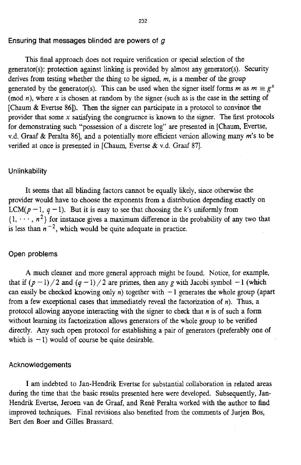#### **Ensuring that messages blinded are powers of g**

This final approach does not require verification or special selection **of** the generator(s): protection against linking is provided by almost any generator(s). Security derives from testing whether the thing to be signed, *m,* is a member of the group generated by the generator(s). This can be used when the signer itself forms *m* as  $m \equiv g^x$ (mod *n),* where *x* is chosen at random by the signer (such **as** is the case in the setting of [Chaum & Evertse 861). Then the signer can participate in a protocol to convince the provider that some *x* satisfying the congruence **is** known to the signer. **The** first protocols for demonstrating such "possession of a discrete log" are presented in [Chaum, Evertse, v.d. Graaf & Peralta 861, and a potentially more efficient version allowing many *m's* **to** be verified at once is presented in [Chaum, Evertse & v.d. Graaf 87].

## **Un lin kability**

It seems that **all** blinding factors cannot be equally hkely, since otherwise the provider would have to choose the exponents from a distribution depending exactly on LCM( $p - 1$ ,  $q - 1$ ). But it is easy to see that choosing the *k*'s uniformly from  $\{1, \dots, n^2\}$  for instance gives a maximum difference in the probability of any two that is less than  $n^{-2}$ , which would be quite adequate in practice.

#### **Open problems**

**A** much cleaner and more general approach might be found. Notice, for example, that if  $(p-1)/2$  and  $(q-1)/2$  are primes, then any g with Jacobi symbol  $-1$  (which can easily be checked knowing only  $n$ ) together with  $-1$  generates the whole group (apart from a few exceptional cases that immediately reveal the factorization of *n).* **Thus,** a protocol allowing anyone interacting with the signer to check that *n* is of such a form without learning its factorization allows generators of the whole group to be verified directly. Any such open protocol for establishing a pair of generators (preferably one of which is  $-1$ ) would of course be quite desirable.

#### **Acknowledgements**

**<sup>I</sup>**am indebted to Jan-Hendrik Evertse for substantial collaboration in related areas during the time that the basic results presented here were developed. Subsequently, **Jan-**Hendrik Evertse, Jeroen van de Graaf, and René Peralta worked with the author to find improved techniques. **Final** revisions also benefited from the comments of Jurjen Bos, Bert den Boer and Gilles Brassard.